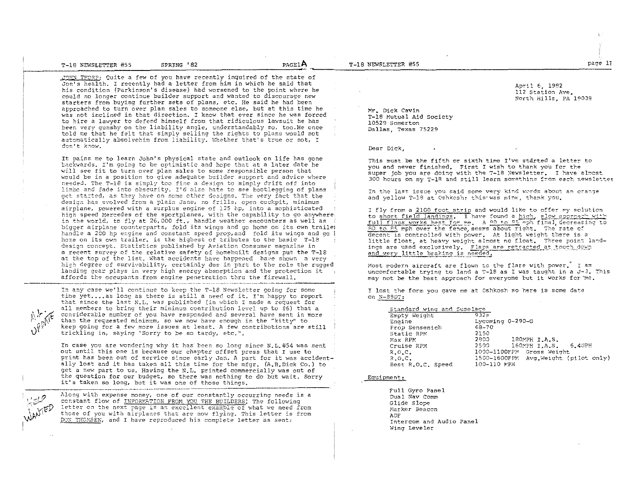| T-18 NEWSLETTER #55 | SPRING<br>- * 82 | <b>PAGELA</b> |
|---------------------|------------------|---------------|
|                     |                  |               |

JOHN THORP: Quite a few of you have recently inquired of the state of Jon's health. I recently had a letter from him in which he said that his condition (Parkinson's disease) had worsened to the point where he could no longer continue builder support and wanted to discourage new starters from buying further sets of plans, etc. He said he had been approached to turn over plan sales to someone else, but at this time he was not inclined in that direction. I know that ever since he was forced to hire a lawyer to defend himself from that ridiculous lawsuit he has been very qunshy on the liability angle, understandably so, too. He once told me that he felt that simply selling the rights to plans would not automatically absolvehim from liability. Whether that's true or not, I don't know.

It pains me to learn John's physical state and outlook on life has gone backwards. I'm going to be optimistic and hope that at a later date he will see fit to turn over plan sales to some responsible person that would be in a position to give adequate builder support and advice where needed. The T-18 is simply too fine a design to simply drift off into limbe and fade into obscurity. I'd also hate to see bootlegging of plans get started, as they have on some other designs. The very fact that the design has evolved from a plain Jane, no frills, open cockpit, minimum airplane, powered with a surplus engine of 125 hp, into a sophisticated high speed Mercedes of the sportplanes, with the capability to go anywhere in the world, to fly at 26,000 ft., handle weather encounters as well as bigger airplane counterparts, fold its wings and go home on its own traile: handle a 200 hp engine and constant speed prop, and fold its wings and go ! home on its own trailer, is the highest of tributes to the basic T-18 design concept. Statistics published by Aviation Consumer magazine in a recent survey of the relative safety of homebuilt designs put the T-18 at the top of the list. What accidents have happened have shown a very high degree of survivability, certainly due in part to the role the rugged landing gear plays in very high energy absorption and the protection it affords the occupants from engine penetration thru the firewall.

In any case we'll continue to keep the T-18 Newsletter going for some time yet....as long as there is still a need of it. I'm happy to report that since the last N.L. was published (in which I made a request for all members to bring their minimum contribution level up to \$6) that a considerable number of you have responded and several have sent in more than the requested minimum, so we now have enough in the "kitty" to keep going for a few more issues at least. A few contributions are still trickling in, saying "Sorry to be so tardy, etc.".

In case you are wondering why it has been so long since N.L.#54 was sent out until this one is because our chapter offset press that I use to print has been out of service since early Jan. A part for it was accidentally lost and it has taken all this time for the mfgr. (A.B.Dick Co.) to get a new part to us. Having the N.L. printed commercially was out of the question for our budget, so there was nothing to do but wait. Sorry it's taken so long, but it was one of those things.

Along with expense money, one of our constantly occurring needs is a constant flow of INFORMATION FROM YOU THE BUILDERS! The following letter on the next page is an excellent example of what we need from those of you with airplanes that are now flying. This letter is from DON THOMSEN, and I have reproduced his complete letter as sent:

T-18 NEWSLETTER #55

April 6, 1982 112 Station Ave. North Hills, PA 19039

page 11

Mr. Dick Cavin T-18 Mutual Aid Society 10529 Somerton Dallas, Texas 75229

## Dear Dick.

This must be the fifth or sixth time I've started a letter to you and never finished. First I wish to thank you for the super job you are doing with the T-18 Newsletter. I have almost 300 hours on my T-18 and still learn something from each newsletter

In the last issue you said some very kind words about an orange and yellow T-18 at Oshkosh, this was mine, thank you.

I fly from a 2100 foot strip and would like to offer my solution to short field landings. I have found a high, slow approach with full flaps works best for me. A 90 to 25 mph final, decreasing to 80 to 85 mph over the fence, seems about right. The rate of decent is controlled with power. At light weight there is a little float, at heavy weight almost no float. Three point landings are used exclusively. Flaps are retracted at touch down and very little braking is needed.

Most modern aircraft are flown to the flare with power. I am uncomfortable trying to land a T-18 as I was taught in a J-3. This may not be the best approach for everyone but it works for me.

I lost the form you gave me at Oshkosh so here is some data on  $N-$  S9DT:

| Standard wing and fuselage  |                                      |
|-----------------------------|--------------------------------------|
| Empty Weight                | $932 =$                              |
| Encine                      | Lycoming 0-290-G                     |
| Prop Sensenich              | $68 - 70$                            |
| Static RPM                  | 2150                                 |
| Max RPM                     | 180MPH I.A.S.<br>2800-               |
| Cruise RPM                  | 160MPH I.A.S. 6.4GPH<br>2500 -       |
| R.0.C.                      | 1000-1100FPM Gross Weight            |
| $R_{\bullet}$ $C_{\bullet}$ | 1500-1600FPM Avg.Weight (pilot only) |
| Best R.O.C. Speed           | 100-110 MPH                          |

Equipment:

Full Gyro Panel Dual Nav Comm Glide Slope Marker Beacon **ADF** Intercom and Audio Panel Wing Leveler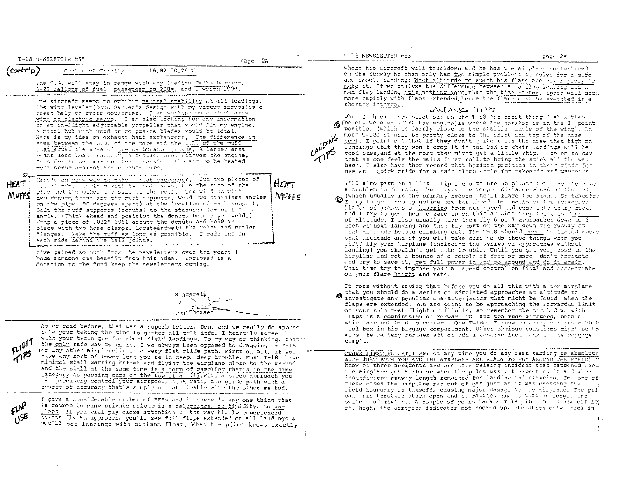T-18 NEWSLETTER #55

 $H_{EAT}$ 

NUFFS

The C.G. will stav in range with any loading 0-75# baggage, 3-29 callons of fuel, passencer to 200\*, and I weich 180#.

.<br>Se para alamana de Maria Maria de Maria II de 1991 e 1992 de la ciudad de 1992 de la ciudad de la franca de la

The aircraft seems to exhibit neutral stability at all loadings. The wing leveler (Doug Garner's design with my vacuum servos)is a great help on cross countries. I am working on a pitch axis with an electric servo. I am also looking for any information on an in-flight adjustable propeller that would fit my engine. A metal hub with wood or composite blades would be ideal. Here is my idea on exhaust heat exchangers. The difference in area between the O.D. of the pipe and the I.D. of the puff Fust equal the area of the carburator intake. A larger area means less heat transfer, a smaller area starves the engine. In order to set waxitum heat transfer, the air to be heated must scrub against the exhaust pipe.

**HEAT** MUFF

Here's an easy way to make a heat exchanger. Out two pieces of 1125" 6061 aluminum with two hole saws, One the size of the pipe and the other the size of the muff. You wind up with two donuts, these are the muff supports. Weld two stainless angles on the pipe (90 decrees apart) at the location of each support. Bolt the ruff supports (denuts) to the standing leg of the angle. (Think ahead and position the donuts before you weld.) Wrap a piece of 1032" 6061 around the donuts and hold in place with two hose clamps. Locateendweld the inlet and outlet flanges. Make the muff as long as possible. I made one on each side behind the ball joints.

I've gained so much from the newsletters over the years I hope soreone can benefit from this idea. Enclosed is a donation to the fund keep the newsletters coming.

Sincerel سنسة ' Don' Thomsen

As we said before, that was a superb letter, Don, and we really do appreciate your taking the time to gather all that info. I heartily agree with your technique for short field landings. To my way of thinking, that's the only safe way to do it. I've always been opposed to dragging a T-18 (or any other airplane) in in a very flat glide path. First of all, if you have any sort of power loss you're in deep, deep trouble. Most T-18s have minimal stall warning buffet and flying the airplane close to the ground and the stall at the same time is a form of gambling that's in the same category as passing cars on the top of a bill. With a steep approach you can precisely control your airspeed, sink rate, and glide path with a degree of accuracy that's simply not attainable with the other method.

I give a considerable number of BFRs and if there is any one thing that is common in many private pilots is a reluctance, or timidity, to use flaps. If you will pay close attention to the way highly experienced pilots fly an approach, you'll see full flaps extended on all landings & you'll see landings with minimum float. When the pilot knows exactly where his aircraft will touchdown and he has the airplane centerlined on the runway he then only has two simple problems to solve for a safe and smooth landing: What altitude to start his flare and how rapidly to make it. If we analyze the difference between a no flap landing and a max flap landing it's nothing more than the time factor. Speed will deca more rapidly with flaps extended, hence the flare must be executed in a shorter interval.

## LANDING TIPS

When I check a new pilot out on the T-18 the first thing I show them (before we even start the engine) is where the horizon is in the 3 point position (which is fairly close to the stalling angle of the wing). On LANDING most T-18s it will be pretty close to the front and top of the nose cowl. I point out that if they don't quite raise the nose that high on landings that they won't drop it in and 95% of their landings will be good ones, and at the most they might get a little skip. I go on to say that as one feels the mains first roll, to bring the stick all the way back. I also have them record that horizon position in their minds for use as a quick quide for a safe climb angle for takeoffs and waveoffs.

I'll also pass on a little tip I use to use on pilots that seem to have a problem in focusing their eves the proper distance ahead of the ship (which usually is the primary reason he'll flare too high). On takeoffs T try to get them to notice how far ahead that marks on the runway, or blades of grass, stop blurring from our speed and come into sharp focus and I try to get them to zero in on this at what they think is 2 or 3 ft of altitude. I also usually have them fly 6 or 7 approaches down to 3 feet without landing and then fly most of the way down the runway at that altitude before climbing out. The T-18 should never be flared above that altitude and if you will take care to do these things when you first fly your airplane (including the series of approaches without landing) you shouldn't get into trouble. Until you get very used to the airplane and get a bounce of a couple of feet or more, don't hesitate and try to save it, get full power in and go around and do it again. This time try to improve your airspeed control on final and concentrate on your flare height and rate.

It goes without saying that before you do all this with a new airplane that you should do a series of simulated approaches at altitude to ⋒ investigate any peculiar characteristics that might be found when the flaps are extended. You are going to be approaching the ForwardCG limit on your solo test flight or flights, so remember the pitch down with flaps is a combination of Forward CG and too much airspeed, both of which are not hard to correct. One T-18er I know normally carries a 501b tool box in his baggage compartment. Other obvious solutions might be to move the battery further aft or add a reserve fuel tank in the baggage comp't.

OTHER FIRST FLIGHT TIPS: At any time you do any fast taxiing he absolute sure THAT BOTH YOU AND THE AIRPLANE ARE READY TO FLY AROUND THE FIEL know of three accidents and one nair raising incident that happened when the airplane got airborne when the pilot was not expecting it and when insufficient runway length remained for landing and stopping. In one of these cases the airplane ran out of gas just as it was cressing the field boundary on takeoff, causing major damage to the airplane. The pil said his throttle stuck open and it rattled him so that he forget the switch and mixture. A couple of years back a T-18 pilot found himself 10 ft, high, the airspeed indicator not hooked up, the stick chly stuck in

pace 2B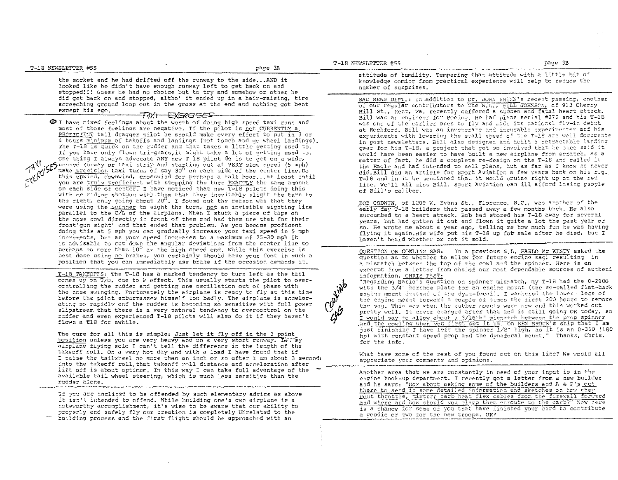the socket and he had drifted off the runway to the side... AND it looked like he didn't have enough runway left to get back on and stopped!!! Guess he had no choice but to try and somehow or other he did get back on and stopped. altho' it ended up in a hair-raising. tire screeching ground loop out in the grass at the end and nothing got bent except his eqo. T#Xt EXERGSES

e I have r::ixed feelings about the worth of doing high speed taxi runs and most of those feelings are negative. If the pilot is not CURRENTLY a, PROFICIENT tail dragger pilot he should make every effort to put in 3 or 4 hours minimum of takoffs and landings (not touch and go wheel landings). The T-18 is quick on the rudder and that takes a little getting used to. If you have only flown tri-gears, it might take a lot of getting used to. One thing I always advocate ANY new T-18 pilot do is to get on a wide. A'iJ .r\_Dun:.osed rUnv.'ay or taxi strip and starting out at VERY slo1;,' speed (5 mph) make <u>precisio</u>n taxi turns of say 30<sup>0</sup> on each side of the center line.Do<br>this upwind, downwind, crosswind for perhaps a half hour...at least 'ntil you are truly proficient with stopping the turn EXACTLY the same amount on each side of center. I have noticed that new T-18 pilots doing this with me riding shotgun with them that they inevitably slight the turn to the right, only going about 20<sup>0</sup>. I found out the reason was that they were using the spinner to sight the turn, not an invisible sighting line parallel to the *CIL* of the airplane. When I stuck a piece of tape on the nose cowl directly in front of them and had them use that for their front'gun sight' and that ended that problem. As you become proficent doing this at 5 mph you can gradually increase your taxi speed in 5 mph increments, but as your speed increases to a maximum of  $25-30$  mph it is advisable to cut down the angular deviations from the center line to perhaps no more than 10<sup>0</sup> at the high speed end. While this exercise is best done using no brakes, you certainly should have your foot in such a position that you can immediately use brake if the occasion demands it.

 $T-18$  TAKEOFFS: The T-18 has a marked tendency to turn left as the tail comes up on  $\overline{T}/0$ , due to P effect. This usually starts the pilot to overccntrolling the rudder and getting one oscillation out of phase with the nose swinging. Fortunately the airplane is ready to fly at this time before the pilot embarrasses himself too badly. The airplane is accelerating so rapidly and the rudder is becoming so sensitive with full power slipstream that there is a very natural tendency to overcontrol on the rudder and even experienced T-18 pilots will also do it if they haven't flown a T18 for awhile.

The cure for all this is simple: Just let it fly off in the 3 point position unless you are very heavy and on a very short runway. Iw. my airplane flying solo I can't tell the difference in the length of the takeoff roll. On a very hot day and with a load I have found that if I raise the tailwheel no more than an inch or so after I am about 3 second! into the takeoff roll, that takeoff roll distance and acceleration after lift off is about optimum. In this way I can take full advantage of the available tail wheel steering, which is much less sensitive than the rudder alone.

If you are inclined to be offended by such elementary advice as above it isn't intended to offend. While building one's own airplane is a noteworthy accomplishment, it's wise to be aware that our ability to properly and safely fly our creation is completely UNrelated to the building process and the first flight should be approached with an

## T-18 NEWSLETTER #55 page 3B

 $\mathbf{v}$ 

 $\mathbb{R}^7$ 

attitude of humility. Tempering that attitude with a little bit of knowledge coming from practical experience will help to reduce the number of surprises.

SAD NEWS DEPT.: In addition to Dr. JOHN SHINN's recent passing, another of our regular contributors to the N.L.,  $\frac{1}{2}$ ILL JOHNSCN, of 913 Cherry Hill St., Kent, Wa. recently suffered a sudden and fatal heart attack. Bill was an engineer for Boeing. He had plans serial #272 and his T-18 was one of the earlier ones to fly and made its national fly-in debut at Rockford. Bill was an inveterate and incurable experimenter and his experiments with lowering the stall speed of the T-18 are well documente in past newsletters. Bill also designed and built a retractable landing gear for his T-18, a project that got so involved that he once said it would have been easier to have built a new airplane from scratch. As a matter of fact, he did a complete re-design on the T-18 and called it the Eagle and had intended to sell plans. but as far as I know he never did. Bill did an article for Sport Aviation a few years back on his r.g. T-18 and in it he mentioned that it would cruise right up on the red r-is and in it ne mentioned that it would cruise right up on the red<br>line. We'll all miss Bill. Sport Aviation can ill afford losing people<br>of Bill's caliber.

BOB GODWIN, of 1209 W. Evans St., Florence, S.C., was another of the early day T-18 builders that passed away a few months back. He also succumbed to a heart attack. Bob had stored his T-18 away for several years, but had gotten it out and flown it quite a lot the past year or so. He wrote me about a year ago, telling me how much fun he was having flying it again. His wife put his T-18 up fo# sale after he died, but I haven't heard whether or not it sold.

QUESTION ON COWLING SAG: In a previous N.L. HARLO MC KINTY asked the question as to whether to allow for future engine sag; resulting in a mismatch between the top of the cowl and the spinner. Here is an: excerpt from a letter from ohelof our most dependable sources of autheni information, CHRIS FAST:

"Regarding Harle's question on spinner mismatch, my T-18 had the 0-290G with the 3/4" horshoe plate for an engine mount (the so-called flat-back engine mount instead of the dyga-focal). I washered the lower legs of the engine mount forward a couple of times the first 200 hours to remove the sag. This was when the rubber mounts were new and this worked out pretty well. It never changed after that and is still going OK today, so I would say to allow about a 3/16th" mismatch between the prop spinner and the cowling when you first set it up. On KEN BROCK's ship that I am just finishing I have left the spinner  $1/8$ " high, as it is an 0-360 (180 hp) with constant speed prop and the dynafocal mount." Thanks, Chris, for the info.

What have some of the rest of you found out on this line? We would all appreciate your comments and opinions.

Another area that we are constantly in need of your input is in the engine hook-up department. I recently got a letter from a new builder and he says: "How about asking some of the builders and A & P's cut there to send in some detailed information and sketches on how they rout throttle, mixture carb heat flex cables from the firewall forward and where and how should you clamp them enfoute to the carb?" Now here is a chance for some of you that have finished your bird to contribute a goodie or two for the new troops. OK?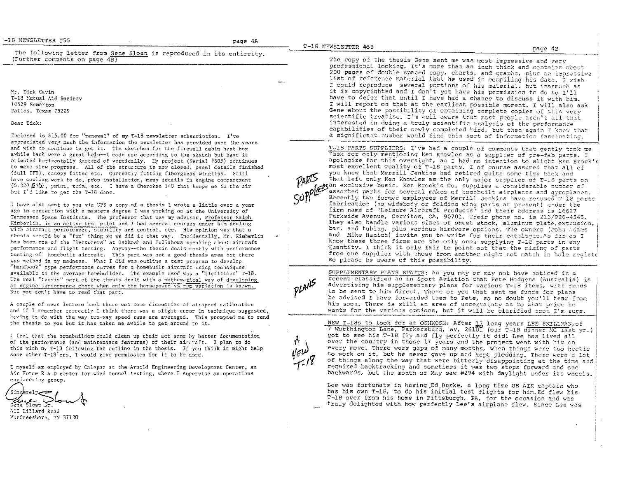'-18 NEWSLETTER #55

page 4B

The following letter from Gene Sloan is reproduced in its entireity. (Further comments on page 4B)

Mr. Dick Cavin T-18 Mutual Aid Society 10529 Somerton Dallas, Texas 75229

Dear Dick:

Enclosed is \$15.00 for "renewal" of my T-18 newsletter subscription. I've appreciated very much the information the newsletter has provided over the vears and wish to continue to get it. The sketches for the firewall cabin heat box avhile back were a great help--I made one according to the sketch but have it oriented horizontally instead of vertically. My project (Serial #805) continues to make slow progress. All of the structure is now closed, panel details finished (full IFR), canopy fitted etc. Currently fitting fiberglass wingtips. Still have cowling. work to do, prop installation, many details in engine compartment (0.320 530), paint, trim, etc. I have a Cherokee 140 that keeps me in the air but I'd like to get the T-18 done.

I have also sent to you via UPS a copy of a thesis I wrote a little over a year ago in connection with a masters degree I was working on at the University of Tennessee Space Institute. The professor that was my advisor. Professor Ralph Kinberlin, is an active test pilot and I had several courses under him dealing with aircraft performance, stability and control, etc. His opinion was that a thesis should be a "fun" thing so we did it that way. Incidentally, Mr. Kimberlin has been one of the "lecturers" at Oshkosh and Tullahoma speaking about aircraft performance and flight testing. Anyway--the thesis deals mostly with performance testing of honebuilt aircraft. This part was not a good thesis area but there was method in my madness. What I did was outline a test program to develop "handbook" type performance curves for a homebuilt aircraft using techniques available to the average homebuilder. The example used was a "fictitious" T-18. The real "thesis" part of the thesis dealt with a mathematical way of developing an engine performance chart when only the horsepower vs rpm variation is known. But you don't have to read that part.

A couple of news letters back there was some discussion of airspeed calibration and if I remember correctly I think there was a slight error in technique suggested. having to do with the way two-way speed runs are averaged. This promoted me to send the thesis to you but it has taken me awhile to get around to it.

I feel that the homebuilders could clean up their act some by better documentation of the performance (and maintenance features) of their aircraft. I plan to do this with my T-18 following the outline in the thesis. If you think it might help some other T-18'ers. I would give permission for it to be used.

I myself am employed by Calspan at the Arnold Engineering Development Center, an Air Force R & D center for wind tunnel testing, where I supervise an operations engineering group.

'Sinc  $\frac{1}{\sqrt{2}}$ 

412 Lillard Road Murfreesboro, TN 37130

The copy of the thesis Gene sent me was most impressive and very professional looking. It's more than an inch thick and contains about 200 pages of double spaced copy, charts, and graphs, plus an impressive list of reference material that he used in compiling his data. I wish I could reproduce several portions of his material, but inasmuch as it is copyrighted and I don<sup>?</sup>t yet have his permission to do so I'll have to defer that until I have had a chance to discuss it with him. I will report on that at the earliest possible moment. I will also ask Gene about the possibility of obtaining complete copies of this very scientific treatise. I'm well aware that most people aren't all that interested in doing a truly scientific analysis of the performance capabilities of their newly completed bird, but then again I know that a significant number would find this sort of information fascinating.

T-18 PARTS SUPPLIERS: I've had a couple of comments that gently took me task for only mentioning Ken Knowles as a supplier of pre-fab parts. I apologize for this oversight, as I had no intention to slight ken Brock's most excellent quality of T-18 parts. I of course assumed that all of you knew that Merrill Jenkins had retired quite some time back and that left only Ken Knowles as the only major supplier of T-18 parts on otan exclusive basis. Ken Brock's Co. supplies a considerable number of assorted parts for several makes of homebuilt airplanes and gyroplanes. Recently two former employees of Merrill Jenkins have resumed T-18 parts fabrication (no widebody or folding wing parts at present) under the firm name of "Leisure Aircraft Products" and their address is 16627 Parkside Avenue, Cerritos, CA, 90701. Their phone no. is 213/926-4545. They also handle various sizes of sheet stock, aluminum plate, extrusion, bar, and tubing, plus various hardware options. The owners (John Adams and: Mike Hanich) invite you to write for their catalogue. As far as I know these three firms are the only ones supplying T-18 parts in any quantity. I think it only fair to point out that the mixing of parts from one supplier with those from another might not match in hole registe so please be aware of this possibility.



SUPPLEMENTARY PLANS STATUS: As you may or may not have noticed in a fecent classified ad in Sport Aviation that Pete Hodgens (Australia) is advertising his supplementary plans for various T-18 items, with funds to be sent to him direct. Those of you that sent me funds for plans be advised I have forwarded them to Pete, so no doubt you'll hear from him soon. There is still an area of uncertainty as to what price he wants for the various options, but it will be clarified soon I'm sure.

NEW T-18s to look for at OSHKOSH: After 17 long years LEE SKILLMAN, of<br>7 Worthington Lane, Parkersburg, WV, 26101 (our T-18 dinner MC last yr.) got to see his T-18 fly and fly perfectly it did! Lee has lived all over the country in those 17 years and the project went with him on every move. There were gaps of many months, when things were too hectic to work on it, but he never gave up and kept plodding. There were a lot of things along the way that were bitterly disappointing at the time and required backtracking and sometimes it was two steps forward and one backwards, but the month of May saw #294 with daylight under its wheels.

Lee was fortunate in having Ed Burke, a long time US AIR captain who has his own T-18, to do his initial test flights for him. Ed flew his T-18 over from his home in Pittsburgh. PA, for the occasion and was truly delighted with how perfectly Lee's airplane flew. Since Lee was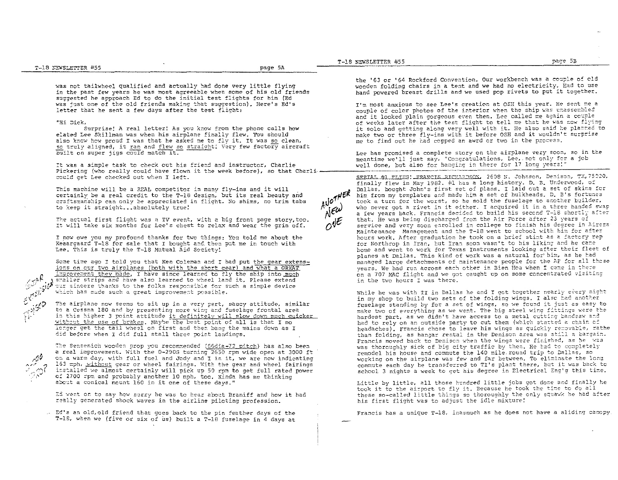was not tailwheel qualified and actually had done very little flying in the past few years he was most agreeable when some of his old friends suggested he approach Ed to do the initial test flights for him (Ed was just one of the old friends making that suggestion). Here's Ed's letter that he sent a few days after the test flight:

## "Hi Dick,

 $\epsilon^{\rm eff}$ 

, بابى<br>,, مائىسى  $\lesssim$ ್ , "

Surprise! A real letter! As you know from the phone calls how elated Lee Skillman was when his airplane finally flew. You should also know how proud I was that he asked me to fly it. It was so clean, so truly aligned, it ran and flew so straight! Very few factory aircraft built on super jigs could match it.

It was a simple task to check out his friend and instructor, Charlie<br>Pickering (who really could have flown it the week before), so that Charlie<br>could get Lee checked out when I left.

This machine will be a REAL competitor in many fly-ins and it will certainly be a real credit to the T-18 design, but its real beauty and craftsmanship can only be appreciated in flight. No shims, no trim tabs to keep it straight...absolutely true!

The actual first flight was a TV event, with a big front page story, too. It will take six months for Lee's chest to relax and wear the grin off.

I now owe you my profound thanks for two things: You told me about the Keaargaard T-18 for sale that I bought and then put me in touch with Lee. This is truly the T-18 Mutual Aid Society!

Scme time ago I told you that Ken Coleman and I had put the gear extensions on cur two airplanes (both with the short gear) and what a GREAT **a f**: increment they made. I have since learned to fly the ship into much  $\alpha$  **s** and have also learned to wheel land it. Please out nuch smaller strips and have also learned to wheel land it. Please extend which has made such a great improvement possible. our sincere thanks to the folks responsible for such a simple device

> The airplane now seems to sit up in a very pert, saucy attitude, similar to a Cessna 180 and by presenting more wing and fuselage frontal area in this higher 3 point attitude it definitely will slow down much quicker without the use of brakes. Maybe the best point of all is that I no icnger get the tail wheel on first and then bang the mains down as I did before when I did full stall three point landings.

The Sensenich wooden prop you recommended (66dia-72 pitch) has also been a real improvement. With the 0-290G turning 2650 rpm wide open at 3000 ft On a warm day, with full fuel and Jody and I in it, we are now indicating 163 mph. without gear or wheel fairings. With the gear and wheel fairings installed we almost certainly will pick up 50 rpm to get full rated power of 2700 rpm and probably another 10 mph, too. Kinda has me thinking about a conical mount 160 in it one of these days."

Ed went on to say how sorry he was to hear about Braniff and how it had really generated shock waves in the airline piloting profession.

. Ed's an old, old friend that goes back to the pin feather days of the T-15, when we (five or six of us} built a 7-18 fuselage in 4 days at

T-18 N~~SLETTER #55 page 5B \_\_\_\_ 2T~-~1~8~'~~~·S~LE~TTE!0~.R~~~3~5 \_\_\_\_\_\_\_\_\_\_\_\_\_\_\_\_\_\_\_\_\_\_\_\_\_\_\_\_\_\_\_\_\_\_\_\_\_\_\_\_\_\_\_\_\_\_ -"p~a~g~e~5~A~ \_\_\_\_\_\_\_\_ .------~~=-:=~

the '63 or '64 Rockford Convention. Our workbench was a couple of old wooden folding chairs in a tent and we had no electricity. Rad to use hand powered breast drills and we used pop rivets to put it together.

I'm most anxious to see Lee's creation at OSH this year. He sent me a couple of color photos of the interior when the ship was unassembled and it looked plain gorgeous even then. Lee called me again a couple of weeks later after the test flight to tell me that he was now flying it solo and getting along very well with it. He also said he planned to make two or three fly-ins with it before OSH and it wouldn't surprise me to find out he had copped an awrd or two in the process.

Lee has promised a complete story on the airplane very soon, so in the meantime we'll just say, "Congratulations, Lee,.not only for a job:<br>well done, but also for hanging in there for 17 long years!"

SEETAL.#1 FLIES!\_ERANCIS RICHARDSON, 2608 N. Johnson, Denison, TX, 75020, finally flew in May 1982. #1 has a long history. D. B. Underwood, of Dallas, bought John's first set of plans. I laid out a set of skins for him from my templates and made him a set of bulkheads. D. B's fortunes took a turn for the worst, so he sold the fuselage to another builder, who never got a rivet in it either. I acquired it in a three handed swap a few years back. Francis decided to build his second T-18 shortly after that. He was being discharged from the Air Force after 23 years of service and very soon earolled in college to finish his degree in Aircra Maintenance Management and the T-18 went to school with him for after hours work. After graduation he took on a brief stint as a factory rep for Northrop in Iran. but Iran soon wasn't to his liking and he came home and went to work for Texas Instruments looking after their fleet of planes at Dallas. This kind of work was a natural for him, as he had managed large detachments of maintenance people for the AF for all those years. We had run across each other in Bien Hoa when I came in there on a 707 MAC flight and we got caught up on some concentrated visiting in the two hours I was there.

While he was with TI in Dallas he and I got together nearly every night in my shop to build two sets of the folding wings. I also had another fuselage standing by for a set of wings, so we found it just as easy to make two of everything as we went. The big steel wing fittings were the hardest part, as we didn't have access to a metal cutting bandsaw and had to rely on an outside party to cut them (which started a chain of headaches). Francis chose to leave his wings as quickly removable, rathe than folding, as hangar rental in the Denison area was still a bargain. Francis moved back to Denison when the wings were finished, as he was was thoroughly sick of big city traffic by then. He had to completely remodel his house and commute the 140 mile round trip to Dallas, so working on the airplane was few and far between. To eliminate the long commute each day he transferred to TI's plant there, but it was back to school 3 nights a week to get his degree in Electrical Eng'g this time.

Little by little, all those hundred little jobs got done and finally he took it to the airport to fly it. Because he took the time to do all these so-called little things so thoroughly the only squawk he had after his first flight was to adjust the idle mixture!

Francis has a unique  $T-18$ , inasmuch as he does not have a sliding cancpy.

 $A^{10}$  $\lambda^{\epsilon\omega}$  $O^{\sqrt{\epsilon}}$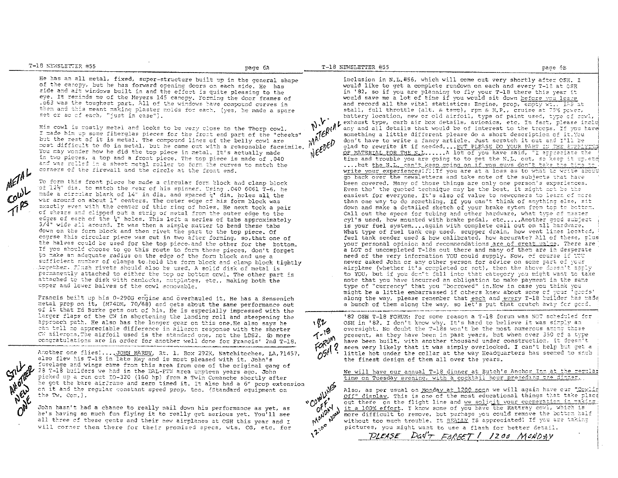T-18 NEWSLETTER #55

T-18 NEWSLETTER #55

 $h_{\gamma}$ .

pace 6B

He has an all metal, fixed, super-structure built up in the general shape of the canopy, but he has forward opening doors on each side. He has side and aft windows built in and the effect is quite pleasing to the eve. It reminds me of the Meyers 145 canopy. Forming the door frames of .063 was the toughest part. All of the windows have compound curves in them and this meant making plaster molds for each. (yes, he made a spare set or so of each, "just in case").

His cowl is mostly metel and looks to be very close to the Thorp cowl. I made him up some fiberglas pieces for the front end part of the "cheeks" but the rest of it is metal. The compound lines of the belly cowl are most difficult to do in metal, but he came out with a reasonable facsimile. You may wonder how he did the top piece in metal. It's actually made in two pieces, a top and a front piece. The top piece is made of .040 and was rolled in a sheet metgl roller to form the curves to match the corners of the firewall and the circle at the front end.

To form this front piece he made a circular form block and clamp block of 12}" dia. to match the rear of his spinner. Using .040 6061 T-6, he made a circular blank of 14" in dia, and spaced x\* dia, holes all the war around on about 1" centers. The cuter edge of his form block was exactly even with the center of this ring of holes. He next took a pair of shears and clipped out a strip of metal from the outer edge to the edges of each of the 4" holes. This left a series of tabs approximately 3/4" wide all around. It was then a simple matter to bend these tabs down on the form block and then rivet the part to the top piece. Of course this circular piece was cut in two after forming, so, that one of the halves could be used for the top piece and the other for the bottom. If you should choose to go this route to form these pieces, don't forget to make an adequate radius on the edge of the form block and use a sufficient number of clamps to hold the form block and clamp block tightly together. Finsh rivets should also be used. A solid disk of metal is permanently attached to either the top or bottom cowl. The other part is attached to the disk with camlocks, mutplates, etc., making both the upper and lower halves of the cowl somovable.

Francis built up his 0-290G engine and overhauled it. He has a Sensenich metal prop on it, (M74DM, 70/68) and gets about the same performance out of it that Ed Burke gets out of his. He is especially impressed with the larger flaps of the CW in shortening the landing roll and steepening the approach path. He also has the longer gear on this one He also says he can tell no appreciable difference in aileron response with the shorter CW ailerons. The airfoil used is the standard one, not the LDS2. So more congratulations are in order for another well done for Francis' 2nd T-18.

Another one flies!.... JOHN HARDY, Rt. 1, Box 292X, Natchitoches, LA, 71457, also flew his T-1S in late May and is most pleased with it. John's fuselage and wings came from this area from one of the original gang of 28 T-18 builders we had in the DAL-FTW area umpteen years ago. John picked up a run out 10-320 (160 hp) from a Twin Comanche shortly after he got the bare airframe and zero timed it. It also had a 6" prop extension on it and the regular constant speed prop, too. (Standard equipment on the Tw. Com. ).

John hasn't had a chance to really nail down his performance as yet, as he's having so much fun flying it to really get serious yet. You<sup>1</sup>ll see all three of these gents and their new airplanes at OSH this year and I will corner them there for their promised specs, wts. CG, etc. for

inclusion in N.L.#56, which will come out very shortly after OSH. I would like to get a complete rundown on each and every T-18 at OSH in '82, so if you are planning to fly your T-18 there this year it would save me a lot of time if you would sit down before you leave and record all the vital statistics: Engine, prop, empty wt., 135 at stall, full throttle (alt. & tewp), rpm & M.P., cruise at 75% power, battery location, new or old airfoil, type of paint used, type of rowl, MATERIA. exhaust type, carb air box details, avionics, etc. In fact, please inclu any and all details that would be of interest to the troops. If you have something a little different please do a short description of it.You  $N \in \mathcal{E}^{opt}$ don't have to write a fancy article. Just scratch it out and I'll be glad to rewrite it if needed.... BUT PLEASE DO YOUR PART IN THE SUP OF MATERIAL FOR THE N.L..... A lot of you have said, "I appreciate the time and trouble you are going to to get the N.L. out, so keep it up, etd .... but the N.L. can't keep coing on if you guys don't take the time to write your experiences!!!!If you are at a loss as to what to write about go back over the newsletters and take note of the subjects that have been covered. Many of those things are only one person's experiences. Even tho' the quoted technique may be the best, it might not be the easiest for everyone. It's also of value to newcomers to learn of more than one way to do something. If you can't think of anything else, sit down and make a detailed sketch of your brake sytem from top to bottom. Call out the specs for tubing and other hardware, what type of master cyl's used, how mounted with brake pedal, etc.....Another good subject is your fuel system....again with complete call out on all hardware. What type of fuel tank cap used, scupper drain, how vent lines located, fuel tank sender used & how calibrated, how accurate? All of these, plus your personal opinion and recommendations are of creat value. There are a LOT of uncompleted T-18s out there and many of them are in desperate need of the very information YOU could supply. Now, of course if YOU never asked John or any other person for advice on some part of your airplane (whether it's completed or not), then the above doesn't apply to YOU, but if you don't fall into that category you might want to take note that you have incurred an obligation to make payment in the same type of "currency" that you "borrowed" in Now in case you think you might be a little embarrassed if others knew about some of your 'goofs' along the way, please remember that each and every T-18 builder has made a bunch of them along the way, so let's put that crutch away for good.



'82 OSH T-18 FORUM: For some reason a T-18 forum was NOT scheduled for OSH in '82. I don't know why. It's hard to believe it was simply an oversight. No doubt the T-18s won't be the most numerous among those present, as they have been in past years, but when over 350 of a type have been built, with another thousand under construction, it doesn't seem very likely that it was simply overlooked. I can't help but get a little hot under the collar at the way Headquarters has seemed to snub the finest design of them all over the years.

We will have our annual T-18 dinner at Butch's Anchor Inn at the regular time on Tuesday evening, with a cocktail hour preceding the dinner.

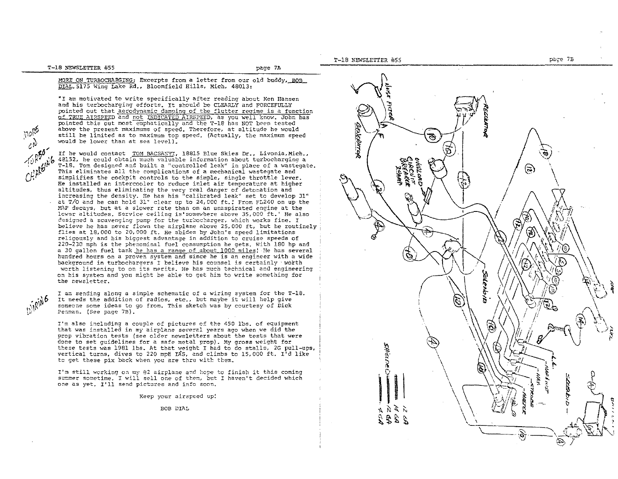T-18 NEWSLETTER #55 page 7A

~(10¢  $\frac{1}{6}$ 

 $\mathcal{C}h^{\mu\nu}$ 

. ikik

MORE ON TURBOCHARGING: Excerpts from a letter from our old buddy, ROB DIAL. 5175 Wing Lake Rd., Bloomfield Hills. Mich. 48013:

\*I am motivated to write specifically after reading about Ken Hansen and his turbocharging efforts. It should be CLEARLY and FORCEFULLY pointed out that aerodynamic damping of the flutter regime is a function of TRUE AIRSPEED and not INDICATED AIRSPEED, as you well know. John has pointed this out most emphatically and the T-l8 has NOT been tested above the present maximums of speed. Therefore, at altitude he would still be limited as to maximum top speec. (Actually, the maximum speed would be lower than at sea level).

 $\sim$   $\sim$   $\mu$   $\sim$ If he would contact TOM BACSANYI, 18815 Blue Skies Dr., Livonia, Mich., 42152, he could obtain much valuable information about turbocharging a T-18. Tom designed and built a "controlled leak" in place of a wastegate. This eliminates all the complications of a mechanical wastegate and simplifies the cockpit controls to the simple, single throttle lever. He installed an intercooler to reduce inlet air temperature at higher altitudes, thus eliminating the very real danger of detonation and increasing the density. He has his "calibrated leak" set to develop 31" at T/O and he can hold 31" clear up to 24, 000 ft.! From FL240 on up the MAP decays, but at a slower rate than on an unaspirated engine at the lower altitudes. Service ceiling is somewhere above 35,000 ft.' He also designed a scavenging pump for the turbocharger, which works fine. I believe he has never flown the airplane above 25,000 ft, but he routinely flies at  $18,000$  to  $20,000$  ft. He abides by John's speed limitations religously and his biggest advantage in addition to cruise speeds of 220-230 mph is the phenominal fuel consumption he gets. with 180 hp and a 30 gallon fuel tank he has a range of about 1000 miles! He has several hundred hours on a proven system and since he is an engineer with a wide background in turbochargers I believe his counsel is certainly worth worth listening to on its merits. He has much technical and engineering on his svstem and you might be able to get him to write something for the newsletter.

> I am sending along a simple schematic of a wiring system for the T-18. It needs the addition of radios, etc., but maybe it will help give someone some ideas to go from. This sketch was by courtesy of Dick Peaman. (See page 7B).

I'm also including a couple of pictures of the 450 lbs. of equipment that was installed in my airplane several years ago when we did the prop vibration tests (see older newsletters about the tests that were done to set guidelines for a safe metal prop). My gross weight for these tests was 1981 lbs. At that weight I had to do stalls, 2G pull-ups, vertical turns, dives to 220 mph  $1\text{A}$ s, and climbs to 15,000 ft.  $I<sup>T</sup>d$  like to get these pix back when you are thru with them.

I'm still working on my  $#2$  airplane and hope to finish it this coming summer sometime. I will sell one of them, but I haven't decided which one as yet. I'll send pictures and info soon.

Keep your airspeed up!

BOB DIAL

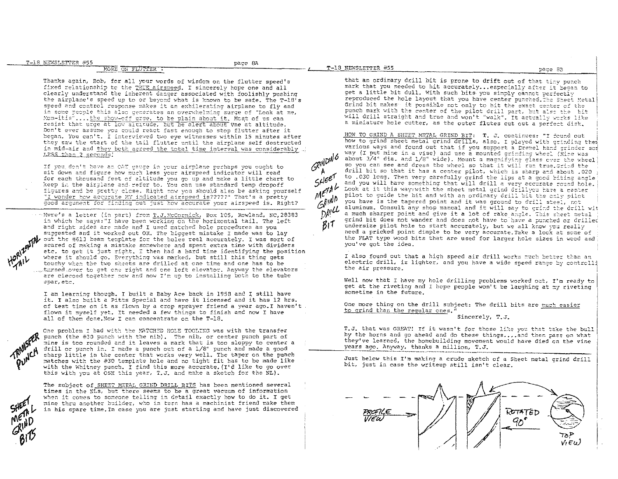**ARIAD** 

page 8A

Thanks again, Bob, for all your words of wisdom on the flutter speed's fixed relationship to the TRUE airspeed. I sincerely hope one and all clearly understand the inherent danger associated with foolishly pushing the airplane's speed up to or beyond what is known to be safe. The T-18's speed and control response makes it an exhilerating airplane to fly and in some people this also generates an overwhelming surge of "Look at me, Mom-itis".... the show-off arge, to be plain about it. Most of us can resist that urge at low altitude, but be alert about vne at altitude. Don't ever assume you could react fast enough to stop flutter after it began. You can't. I interviewed two eye witnesses within 15 minutes after they saw the start of the tail flutter until the airplane self destructed in mid-air and they both agreed the total time interval was considerably LESS than 2 seconds!

If you don't have an OAT gauge in your airplane perhaps you ought to sit down and figure how much less your airspeed indicator will read for each thousand feet of altitude you go up and make a little chart to keep in the airplane and refer to. You can use standard temp dropoff figures and be pretty close. Right now you should also be asking yourself "I wonder how accurate MY indicated airspeed is?????" That's a pretty good argument for finding out just how accurate your airspeed is. Right?

" "Here's a letter (in part) from T.J. McCormick, Box 105, Rowland, NC, 28383 in which he says: "I have been working on the horizontal tail. The left and right sides are made and I used matched hole procedures as you suggested and it worked out OK. The biggest mistake I made was to lay out the #613 beam template for the holes real accurately. I was sort of scared of making a mistake somewhere and spent extra time with dividers etc. to get it just right. I then had a hard time identifying the position where it should go. Everything was marked, but still this thing gets touchy when the two sheets are drilled at one time and one has to be turned over to get one right and one left elevator. Anyway the elevators are cleoced together now and now I'm up to installing both to the tube spar, etc.

I am learning though. I built a Baby Ace back in 1958 and I still have it. I also built a Pitts Special and have it licensed and it has 12 hrs. of test time on it as flown by a crop sprayer friend a year ago. I haven't flown it myself yet. It needed a few things to finish and now I have all of them done. Now I can concentrate on the T-18.

One problem I had with the MATCHED HOLE TOOLING was with the transfer punch (the #30 punch with the nib). The nib, or center punch part of mine is too rounded and it leaves a mark that is too sloppy to center a drill or punch in. I made a punch out of a 1/8" punch and made a good sharp little in the center that works very well. The taper on the punch matches with the #30 template hole and no tight fit has to be made like with the Whitney punch. I find this more accurate. (I'd like to go over this with you at OSH this year. T.J. and make a sketch for the NL).

The subject of SHEET METAL GRIND DRILL BITS has been mentioned several times in the NLs, but there seems to be a great vacuum of information when it comes to someone telling in detail exactly how to do it. I get mine thru another builder, who in turn has a machinist friend make them in his spare time. In case you are just starting and have just discovered BIT.

that an ordinary drill bit is prone to drift out of that tinv punch mark that you needed to hit accurately... especially after it began to get a little bit dull. With such bits you simply cannot perfectly reproduced the hole layout that you have center punched. The Sheet Metal Grind bit makes it possible not only to hit the exact center of the punch mark with the center of the pilot drill part, but also the bit will drill straight and true and won't "walk". It actually works like a miniature hole cutter, as the outer flutes cut out a perfect disk.

HOW TO GRIND A SHEET METAL GRIND BIT: T. J. continues: "I found out how to grind sheet metal grind drills, also. I played with grinding them various ways and found out that if you support a Dremel hand grinder son way (I put mine in a vise) and use a mounted grinding wheel (Xine was about 3/4" dia. and 1/8" wide). Mount a magnifying glass over the wheel so you can see and dress the wheel so that it will run true Grind the drill bit so that it has a center pilot, which is sharp and about .020 to .030 long, Then very carefully grind the lips at a good biting angle and you will have something that will drill a very accurate round hole. **METAL** Look at it this way: with the sheet metal grind drillyou have a center pilot to guide the bit and with an ordinary drill bit the only pilot  $G^{p_1 p_2}$ you have is the tapered point and it was ground to drill steel, not  $D^{\rho/\mu}$ aluminum. Consult any shop manual and it will say to grind the drill wit a much sharper point and give it a lot of rake angle. This sheet metal grind bit does not wander and does not have to have a punched or drilled undersize pilot hole to start accurately, but we all know you really need a pricked point dimple to be very accurate. Take a lock at some of the FLAT type wood bits that are used for larger hole sizes in wood and you've got the idea.

> I also found out that a high speed air drill works much better than an electric drill, iz lighter, and you have a wide speed range by controlli the air pressure.

> Well now that I have my hole drilling problems worked out. I'm ready to get at the riveting and I hope people won't be laughing at my riveting sometime in the future.

One more thing on the drill subject: The drill bits are much easier to grind than the regular cnes.

Sincerely, T.J.

T.J. that was GREAT! If it wasn't for those like you that take the bull by the horns and go ahead and do these things....and then pass on what they've learned, the homebuilding movement would have died on the vine years ago. Anyway, thanks a million, T.J.

Just below this I'm making a crude sketch of a Sheet metal grind drill bit, just in case the writeup still isn't clear.

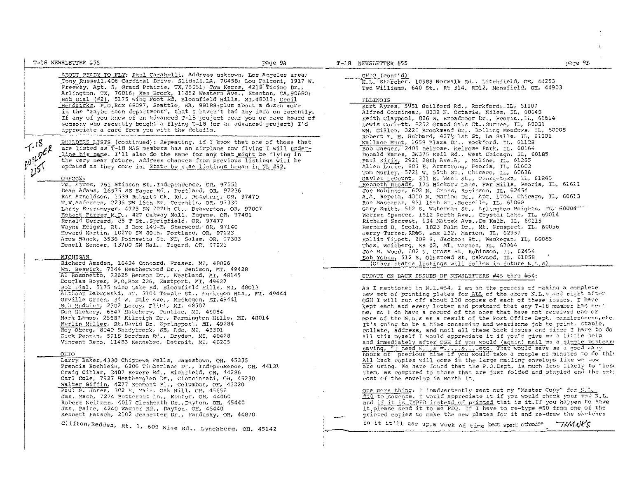| T-16 NEWSLETTER #55                                                                                                                                                                                                                                                                                                                                                                                                                                                                                                                                                                                                                                                                                                                          | page 9A | T-18 NEWSLETTER #55                                                                                                                                                                                                                                                                                                                                                                                                                                                                                                                                                                                                                                                                                                                                                                                            | page 9B                                                                                                                                               |
|----------------------------------------------------------------------------------------------------------------------------------------------------------------------------------------------------------------------------------------------------------------------------------------------------------------------------------------------------------------------------------------------------------------------------------------------------------------------------------------------------------------------------------------------------------------------------------------------------------------------------------------------------------------------------------------------------------------------------------------------|---------|----------------------------------------------------------------------------------------------------------------------------------------------------------------------------------------------------------------------------------------------------------------------------------------------------------------------------------------------------------------------------------------------------------------------------------------------------------------------------------------------------------------------------------------------------------------------------------------------------------------------------------------------------------------------------------------------------------------------------------------------------------------------------------------------------------------|-------------------------------------------------------------------------------------------------------------------------------------------------------|
| ABOUT READY TO FLY: Paul Carabelli, Address unknown, Los Angeles area;<br>Tony Russell, 406 Cardinal Drive, Slidell, LA, 70458, Lou Falconi, 1917 W.<br>Freeway, Apt. 5, Grand Prairie, TX, 75051; Tom Kerns, 4218 Ticino Dr.,<br>Arlington, TX, 76016; Ken Brock, 11852 Western Ave., Stanton, CA, 90680;<br>Bob Dial (#2), 5175 Wing Foot Rd, Bloomfield Hills, MI, 48013; Cecil<br>Hendricks, P.O.Box 68097, Seattle, WA, 98188;plus about a dozen more<br>in the "maybe soon department", that I haven't had any info on recently.<br>If any of you know of an advanced T-18 project near you or have heard of<br>someone who recently bought a flying T-18 (or an advanced project) I'd<br>appreciate a card from you with the details. |         | OHIO (cont'd)<br>H.L. Starcher, 10588 Norwalk Rd., Litchfield, OH, 44253<br>Ted Williams, 640 St., Rt 314, RD12, Mansfield, OH, 44903<br>ILLINOIS<br>Kurt Ayres, 5951 Guilford Rd., Rockford& IL, 61107<br>Alfred Cousineau, 8332 N. Octavia, Niles, IL, 60648<br>Keith Claypool, 826 W. Broadmoor Dr., Peoria., IL, 61614<br>Lewis Corbett, 8202 Grand Oaks Ct., Gurnee, IL, 50031<br>WM. Gillen, 3228 Brookmead Dr., Rolling Meadows, IL, 60008                                                                                                                                                                                                                                                                                                                                                              |                                                                                                                                                       |
| <u> BUILDERS LISTS (</u> continued): Repeating, if I know that one of those that<br>$1 - 18$<br>are listed as T-18 MAS members has an airplane now flying I will under-<br>$\frac{1-\rho\epsilon}{\rho}$<br><u>line his name.</u> I'll also do the same for any that <u>might</u> be flying in<br>the very near future. Address changes from previous listings will be<br>updated as they come in. State by stae listings began in NL #52.<br>OREGON:                                                                                                                                                                                                                                                                                        |         | Robert T. H. Hubbard, 437% lst St. La Salle, IL. 61301<br>Wallace Hunt, 1658 Plaza Dr., Rockford, IL, 61108<br>Bob Jaeger, 2405 Melrose, Nelrose Park, IL, 60164<br>Donald Kames, 3N375 Keil Rd., West Chicago, IL, 60185<br>Paul Kirik, 2921 28th Ave.A, , Moline, IL, 61265<br>Allen Lurie, 605 E. Armstrong, Peoria, IL, 61603<br>Tom Morley, 5721 W. 55th St., Chicago, IL, 60638<br>Gaylen LeCount, 301 E. West St., Georgetown, IL, 61846                                                                                                                                                                                                                                                                                                                                                                |                                                                                                                                                       |
| Wm. Ayres, 761 Stinson St., Independence, OR, 97351<br>Dean Adams, 16575 SE Sager Rd., Portland, OR, 97236<br>Ron Arnoldson, 1539 Reberts Ck. Rd., Reseburg, OR, 97470<br>T.V.Anderson, 2235 NW 16th St. Corvalis, OR, 97330<br>Larry Eversmeyer, 4725 SW 207th Ct., Beaverton, OR, 97007<br>Robert Furrer M.D., 427 Oakway Mall, Eugene, OR, 97401<br>Ronald Gerrard, 85 T St., Sprigfield, OR, 97477<br>Wayne Heigel, Rt. 3 Box 140-E, Sherwood, OR, 97140<br>Howard Martin, 10270 SW 80th, Portland, OR, 97223<br>Amos Ranck, 3536 Poinsetta St. NE, Salem, OR, 97303<br>Denell Zander, 13700 SW Hall, Tigard, OR, 97223                                                                                                                  |         | <u>Kenneth Rhoads</u> , 175 Hickory Lane, Far Hills, Peoria, IL, 61611<br>Joe Robinson, 602 N. Cross, Robinson, IL, 62454<br>A.A. Repeta, 4300 N. Marine Dr., Apt. 1704, Chicago, IL, 60613<br>Ron Sassaman, 931 16th St., Rochelle, IL, 61068<br>Gary Smith, 512 S. Waterman St., Arlington Heights, IL, 60004 4<br>Warren Spencer, 1512 North Ave., Crystal Lake, IL, 60014<br>Richard Secrest, 134 Mattek Ave., De Kalb, IL, 60115<br>Bernard D. Scola, 1823 Palm Dr., Mt. Prospect, IL, 60056<br>Jerry Turner, RR#5, Box 132, Marion, IL, 62957<br>Rollin Tippet, 208 S. Jackson St., Waukegan, IL, 60085<br>Thos. Weinberg, RR #2, MT. Vernon, IL, 62864                                                                                                                                                  |                                                                                                                                                       |
| MICHIGAN<br>Richard Amsden, 16434 Concord, Fraser, MI, 48026<br>Mm. Beswick, 7144 Heatherwood Dr., Jenison, MI, 49428                                                                                                                                                                                                                                                                                                                                                                                                                                                                                                                                                                                                                        |         | Joe R. Wood, 602 N. Cross St. Robinson, IL, 62454<br>Bob Young, 512 S. Olmstead St. Cakwood, IL, 61858<br>(Other states listings will follow in future N.L.s)                                                                                                                                                                                                                                                                                                                                                                                                                                                                                                                                                                                                                                                  |                                                                                                                                                       |
| Al Bosonetto, 32625 Benson Dr., Westland, MI, 48145<br>Douglas Boyer, P.O.Box 236, Eastport, MI, 49627<br>Bob Dial, 5175 Wing Lake Rd. Bloomfield Hills, MI, 48013<br>Anthony Dabrowski, Jr, 3104 Temple St., Muskegon Hts., MI, 49444<br>Orville Green, 34 W. Dale Ave., Muskegon, MI, 49441<br>Bob Hudgins, 2502 Leroy, Flint, MI, 48502<br>Don Hackney, 6647 Hatchery, Pontiac, MI, 48054<br>Mark Lamos, 25687 Kilreigh Dr., Farmington Hills, MI, 48014<br>Merlin Miller, Rt, David Dr. Springport, MI, 49284<br>Roy Oberg, 8040 Shadybrook, SE, Ada, MT, 49301<br>Dick Penman, 5918 Bordman Rd., Dryden, MI, 48428<br>Vincent Reno, 11483 Kennebec, Detroit, MI, 48205                                                                  |         | UPDATE ON BACK ISSUES OF NEWSLETTERS #45 thru #54:<br>As I mentioned in N.L.#54, I am in the process of making a complete<br>new set of printing plates for ALL of the above N.L.s and right after<br>OSH I will run off about 100 copies of each of these issues. I have<br>kept each and every letter and postcard that any T-18 member has sent<br>me, so I do have a record of the ones that have not received one or<br>more of the N.L.s as a result of the Post Office Dept. carelessness, etc.<br>It's going to be a time consuming and wearisome job to print, staple,<br>collate, address, and mail all these back issues and since I have to do<br>all this myself I would appreciate it if you"d give me a little help<br>and immediately after OSH if you would (again) mail me a simple postcare |                                                                                                                                                       |
| CHIO<br>Larry Baker, 4330 Chippewa Falls, Jamestown, OH, 45335<br>Francis Boehlein, 6206 Timberlane Dr., Indepenxence, OH, 44131<br>Craig Cihlar, 3407 Revere Rd., Richfield, OH, 44286<br>Carl Cole, 7927 Heatherglen Dr., Cinncinnati, OH, 45230                                                                                                                                                                                                                                                                                                                                                                                                                                                                                           |         | saying, "I need N.L.s = S etc. That would save me a good many<br>hours of precious time if you would take a couple of minutes to do this<br>All back copies will come in the large mailing envelops like we now<br>cost of the envelop is worth it.                                                                                                                                                                                                                                                                                                                                                                                                                                                                                                                                                            | are using. We have found that the P.O. Dept. is much less likely to "lose<br>them, as compared to those that are just folded and stapled and the exti |
| Walter Giffin, 4277 Kenmont Pl., Columbus, OH, 43220<br>Paul S. Jones, 302 E. Main, Oak Hill, OH, 45656<br>Jas. Mach, 7274 Butternut Ln., Mentor, OH, 44060<br>Robert Neitman, 4017 Glenheath Dr., Dayton, OH, 45440<br>Jas. Paine, 4240 Wagner Rd., Dayton, OH, 45440<br>Kenneth Patsch, 2102 Jeanetter Dr., Sandusky, OH, 44870                                                                                                                                                                                                                                                                                                                                                                                                            |         | One more thing: I inadvertently sent out my "Master Copy" for N.L.<br>$\#50$ to someone. I would appreciate it if you would check your #50 N.L.<br>and if it is TYPED instead of printed that is it. If you happen to have<br>it, please send it to me PDQ. If I have to re-type #50 from one of the<br>printed copies to make the new plates for it and re-draw the sketches                                                                                                                                                                                                                                                                                                                                                                                                                                  |                                                                                                                                                       |
| Clifton, Redden, Rt. 1, 609 Wise Rd., Lynchburg, OH, 45142                                                                                                                                                                                                                                                                                                                                                                                                                                                                                                                                                                                                                                                                                   |         | in it it'll use up, a week of time best spent otherse                                                                                                                                                                                                                                                                                                                                                                                                                                                                                                                                                                                                                                                                                                                                                          | <i>THANKS</i>                                                                                                                                         |

 $\sim 10$